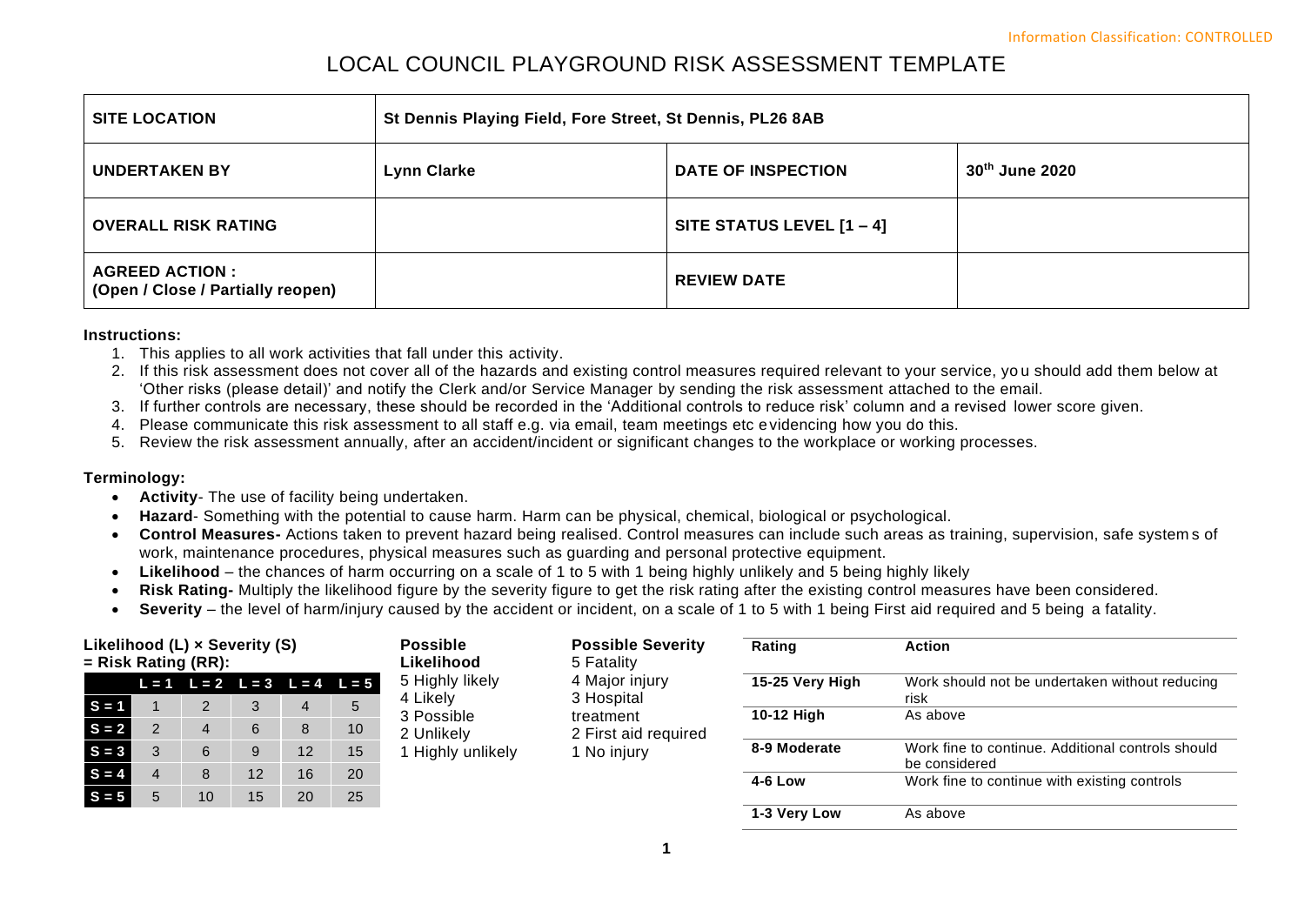# LOCAL COUNCIL PLAYGROUND RISK ASSESSMENT TEMPLATE

| <b>SITE LOCATION</b>                                        | St Dennis Playing Field, Fore Street, St Dennis, PL26 8AB         |                             |  |  |  |  |
|-------------------------------------------------------------|-------------------------------------------------------------------|-----------------------------|--|--|--|--|
| <b>UNDERTAKEN BY</b>                                        | 30th June 2020<br><b>Lynn Clarke</b><br><b>DATE OF INSPECTION</b> |                             |  |  |  |  |
| <b>OVERALL RISK RATING</b>                                  |                                                                   | SITE STATUS LEVEL $[1 - 4]$ |  |  |  |  |
| <b>AGREED ACTION :</b><br>(Open / Close / Partially reopen) |                                                                   | <b>REVIEW DATE</b>          |  |  |  |  |

#### **Instructions:**

- 1. This applies to all work activities that fall under this activity.
- 2. If this risk assessment does not cover all of the hazards and existing control measures required relevant to your service, yo u should add them below at 'Other risks (please detail)' and notify the Clerk and/or Service Manager by sending the risk assessment attached to the email.
- 3. If further controls are necessary, these should be recorded in the 'Additional controls to reduce risk' column and a revised lower score given.
- 4. Please communicate this risk assessment to all staff e.g. via email, team meetings etc evidencing how you do this.
- 5. Review the risk assessment annually, after an accident/incident or significant changes to the workplace or working processes.

### **Terminology:**

- **Activity** The use of facility being undertaken.
- **Hazard** Something with the potential to cause harm. Harm can be physical, chemical, biological or psychological.
- **Control Measures-** Actions taken to prevent hazard being realised. Control measures can include such areas as training, supervision, safe system s of work, maintenance procedures, physical measures such as guarding and personal protective equipment.
- **Likelihood**  the chances of harm occurring on a scale of 1 to 5 with 1 being highly unlikely and 5 being highly likely
- **Risk Rating-** Multiply the likelihood figure by the severity figure to get the risk rating after the existing control measures have been considered.
- **Severity** the level of harm/injury caused by the accident or incident, on a scale of 1 to 5 with 1 being First aid required and 5 being a fatality.

| Likelihood (L) x Severity (S)<br>$=$ Risk Rating (RR): |  |    |    | <b>Possible</b><br>Likelihood | <b>Possible Severity</b><br>5 Fatality  | Rating<br><b>Action</b>     |                              |                 |                                                                    |
|--------------------------------------------------------|--|----|----|-------------------------------|-----------------------------------------|-----------------------------|------------------------------|-----------------|--------------------------------------------------------------------|
|                                                        |  |    |    |                               | $L = 1$ $L = 2$ $L = 3$ $L = 4$ $L = 5$ | 5 Highly likely<br>4 Likely | 4 Major injury<br>3 Hospital | 15-25 Very High | Work should not be undertaken without reducing<br>risk             |
| $S = 1$                                                |  |    |    | 4                             | 5                                       | 3 Possible                  | treatment                    | 10-12 High      | As above                                                           |
| $S = 2$                                                |  | 4  | 6  | 8                             | 10                                      | 2 Unlikely                  | 2 First aid required         |                 |                                                                    |
| $S = 3$                                                |  | 6  |    | 12                            | 15                                      | Highly unlikely             | 1 No injury                  | 8-9 Moderate    | Work fine to continue. Additional controls should<br>be considered |
| $S = 4$                                                |  | 8  | 12 | 16                            | 20                                      |                             |                              | 4-6 Low         | Work fine to continue with existing controls                       |
| $S = 5$                                                |  | 10 | 15 | 20                            | 25                                      |                             |                              |                 |                                                                    |
|                                                        |  |    |    |                               |                                         |                             |                              | 1-3 Very Low    | As above                                                           |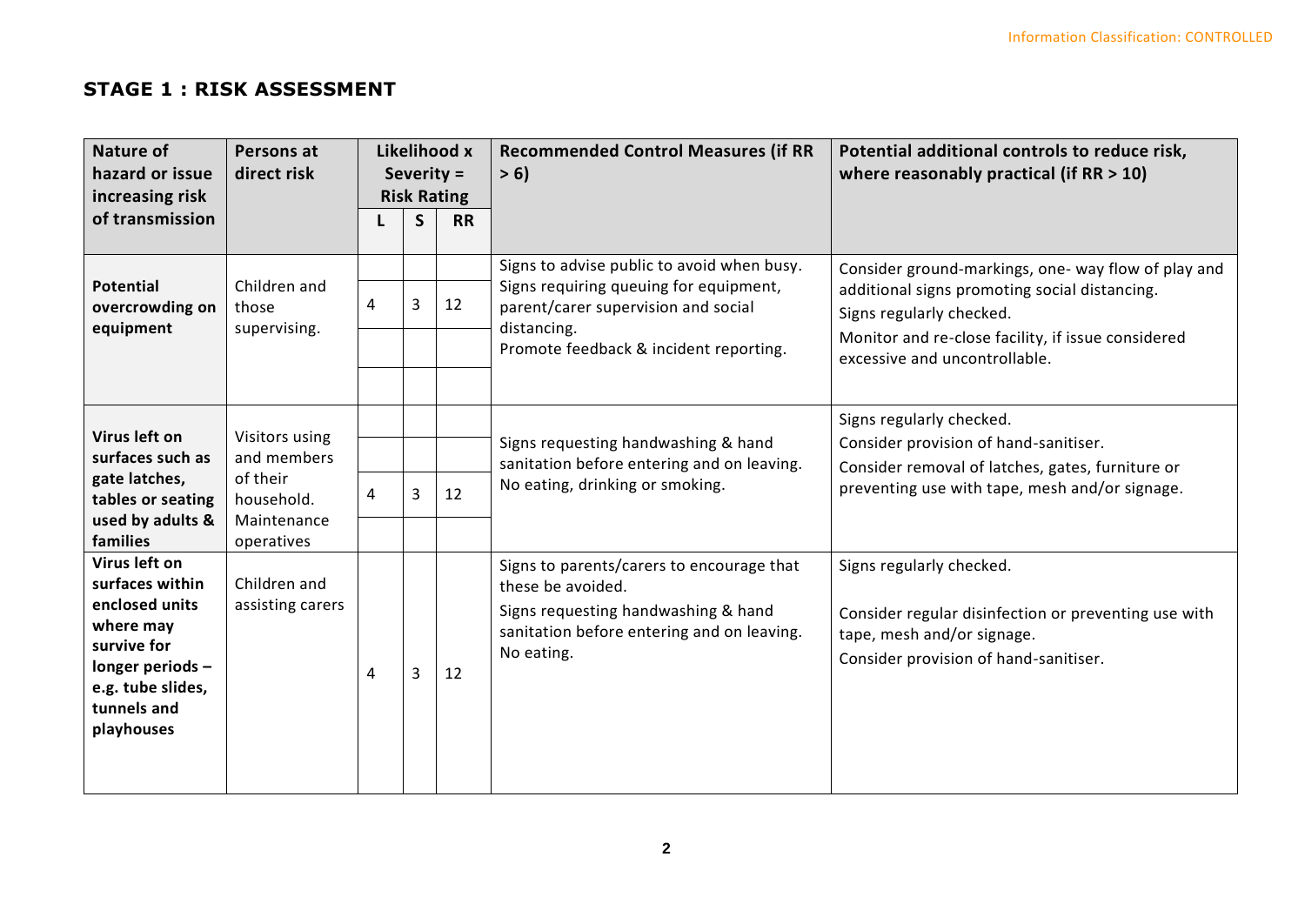## **STAGE 1 : RISK ASSESSMENT**

| <b>Nature of</b><br>hazard or issue<br>increasing risk                                                                                               | Persons at<br>direct risk                                                            | Likelihood x<br>Severity =<br><b>Risk Rating</b> |   |    | <b>Recommended Control Measures (if RR</b><br>> 6                                                                                                                                    | Potential additional controls to reduce risk,<br>where reasonably practical (if $RR > 10$ )                                                                                                                             |  |  |
|------------------------------------------------------------------------------------------------------------------------------------------------------|--------------------------------------------------------------------------------------|--------------------------------------------------|---|----|--------------------------------------------------------------------------------------------------------------------------------------------------------------------------------------|-------------------------------------------------------------------------------------------------------------------------------------------------------------------------------------------------------------------------|--|--|
| of transmission                                                                                                                                      |                                                                                      | <b>RR</b><br>S                                   |   |    |                                                                                                                                                                                      |                                                                                                                                                                                                                         |  |  |
| <b>Potential</b><br>overcrowding on<br>equipment                                                                                                     | Children and<br>those<br>supervising.                                                | 4                                                | 3 | 12 | Signs to advise public to avoid when busy.<br>Signs requiring queuing for equipment,<br>parent/carer supervision and social<br>distancing.<br>Promote feedback & incident reporting. | Consider ground-markings, one- way flow of play and<br>additional signs promoting social distancing.<br>Signs regularly checked.<br>Monitor and re-close facility, if issue considered<br>excessive and uncontrollable. |  |  |
| Virus left on<br>surfaces such as<br>gate latches,<br>tables or seating<br>used by adults &<br>families                                              | Visitors using<br>and members<br>of their<br>household.<br>Maintenance<br>operatives | 4                                                | 3 | 12 | Signs requesting handwashing & hand<br>sanitation before entering and on leaving.<br>No eating, drinking or smoking.                                                                 | Signs regularly checked.<br>Consider provision of hand-sanitiser.<br>Consider removal of latches, gates, furniture or<br>preventing use with tape, mesh and/or signage.                                                 |  |  |
| Virus left on<br>surfaces within<br>enclosed units<br>where may<br>survive for<br>longer periods -<br>e.g. tube slides,<br>tunnels and<br>playhouses | Children and<br>assisting carers                                                     | 4                                                | 3 | 12 | Signs to parents/carers to encourage that<br>these be avoided.<br>Signs requesting handwashing & hand<br>sanitation before entering and on leaving.<br>No eating.                    | Signs regularly checked.<br>Consider regular disinfection or preventing use with<br>tape, mesh and/or signage.<br>Consider provision of hand-sanitiser.                                                                 |  |  |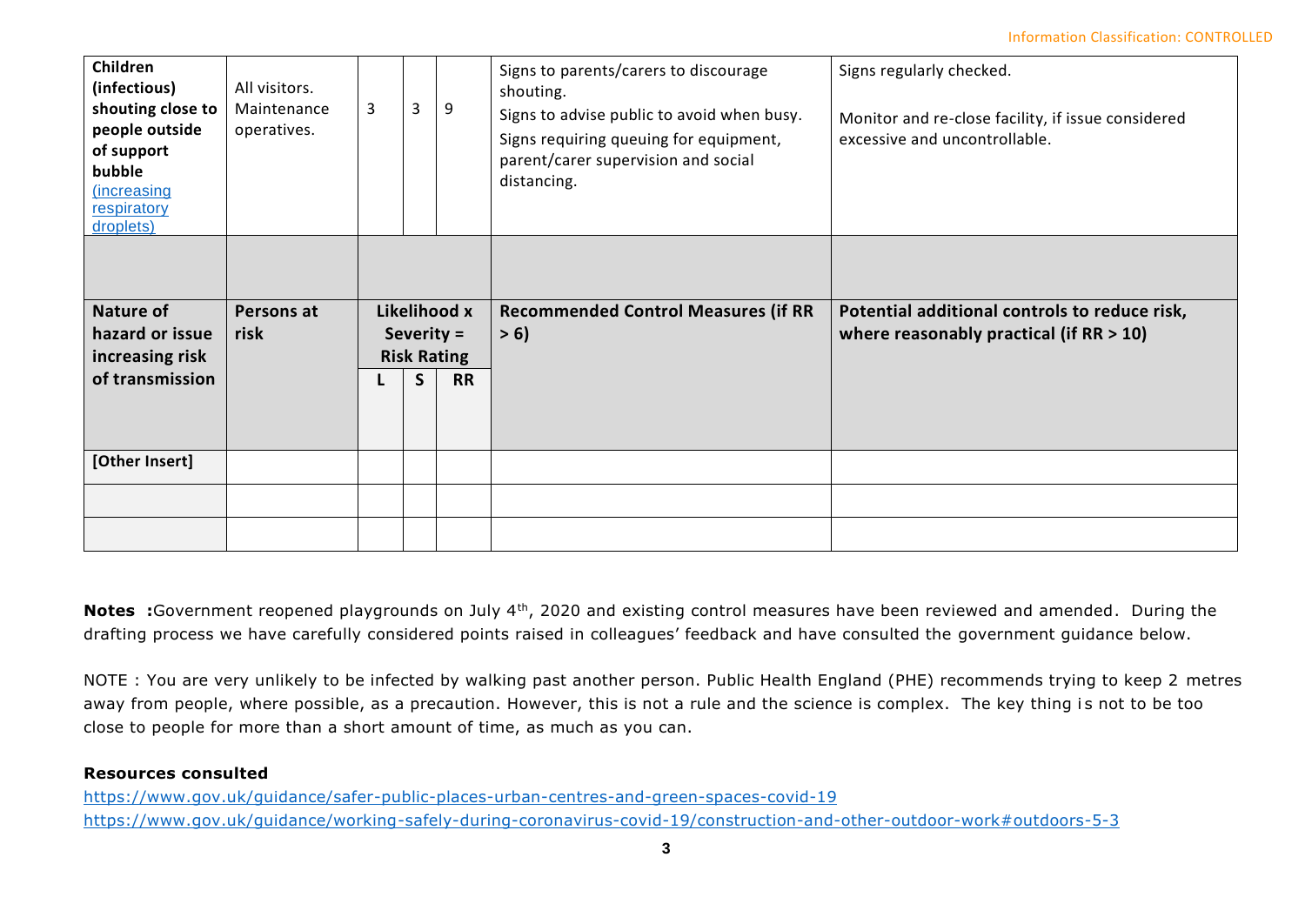| Children<br>(infectious)<br>shouting close to<br>people outside<br>of support<br>bubble<br>(increasing<br>respiratory<br>droplets) | All visitors.<br>Maintenance<br>operatives. | 3                            | 3 | 9                               | Signs to parents/carers to discourage<br>shouting.<br>Signs to advise public to avoid when busy.<br>Signs requiring queuing for equipment,<br>parent/carer supervision and social<br>distancing. | Signs regularly checked.<br>Monitor and re-close facility, if issue considered<br>excessive and uncontrollable. |  |  |
|------------------------------------------------------------------------------------------------------------------------------------|---------------------------------------------|------------------------------|---|---------------------------------|--------------------------------------------------------------------------------------------------------------------------------------------------------------------------------------------------|-----------------------------------------------------------------------------------------------------------------|--|--|
| <b>Nature of</b><br>hazard or issue                                                                                                | Persons at<br>risk                          | Likelihood x<br>Severity $=$ |   |                                 | <b>Recommended Control Measures (if RR</b><br>> 6                                                                                                                                                | Potential additional controls to reduce risk,<br>where reasonably practical (if $RR > 10$ )                     |  |  |
| increasing risk                                                                                                                    |                                             |                              |   |                                 |                                                                                                                                                                                                  |                                                                                                                 |  |  |
| of transmission                                                                                                                    |                                             |                              | S | <b>Risk Rating</b><br><b>RR</b> |                                                                                                                                                                                                  |                                                                                                                 |  |  |
| [Other Insert]                                                                                                                     |                                             |                              |   |                                 |                                                                                                                                                                                                  |                                                                                                                 |  |  |

**Notes** :Government reopened playgrounds on July 4<sup>th</sup>, 2020 and existing control measures have been reviewed and amended. During the drafting process we have carefully considered points raised in colleagues' feedback and have consulted the government guidance below.

NOTE : You are very unlikely to be infected by walking past another person. Public Health England (PHE) recommends trying to keep 2 metres away from people, where possible, as a precaution. However, this is not a rule and the science is complex. The key thing is not to be too close to people for more than a short amount of time, as much as you can.

### **Resources consulted**

<https://www.gov.uk/guidance/safer-public-places-urban-centres-and-green-spaces-covid-19> <https://www.gov.uk/guidance/working-safely-during-coronavirus-covid-19/construction-and-other-outdoor-work#outdoors-5-3>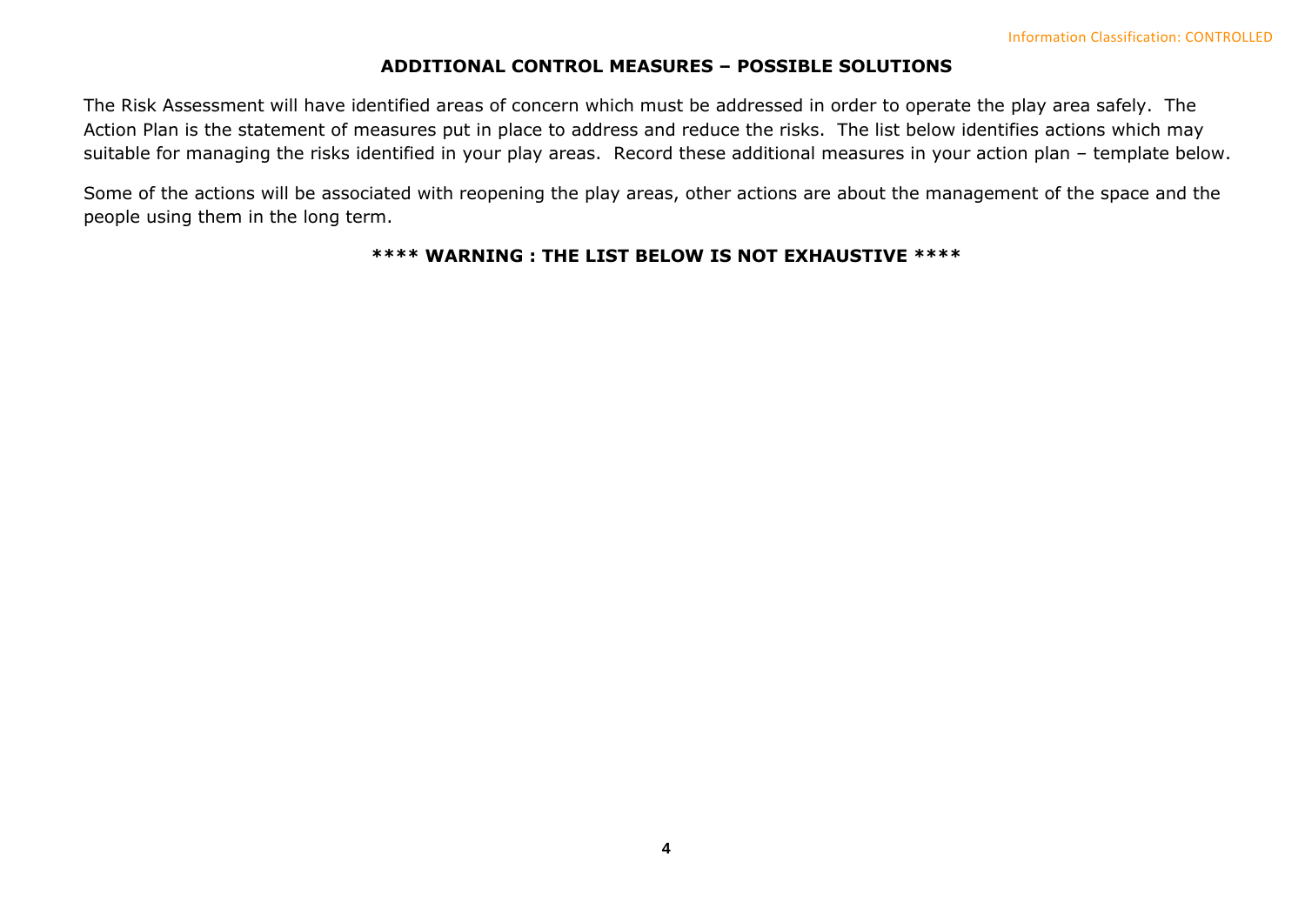### **ADDITIONAL CONTROL MEASURES – POSSIBLE SOLUTIONS**

The Risk Assessment will have identified areas of concern which must be addressed in order to operate the play area safely. The Action Plan is the statement of measures put in place to address and reduce the risks. The list below identifies actions which may suitable for managing the risks identified in your play areas. Record these additional measures in your action plan – template below.

Some of the actions will be associated with reopening the play areas, other actions are about the management of the space and the people using them in the long term.

### **\*\*\*\* WARNING : THE LIST BELOW IS NOT EXHAUSTIVE \*\*\*\***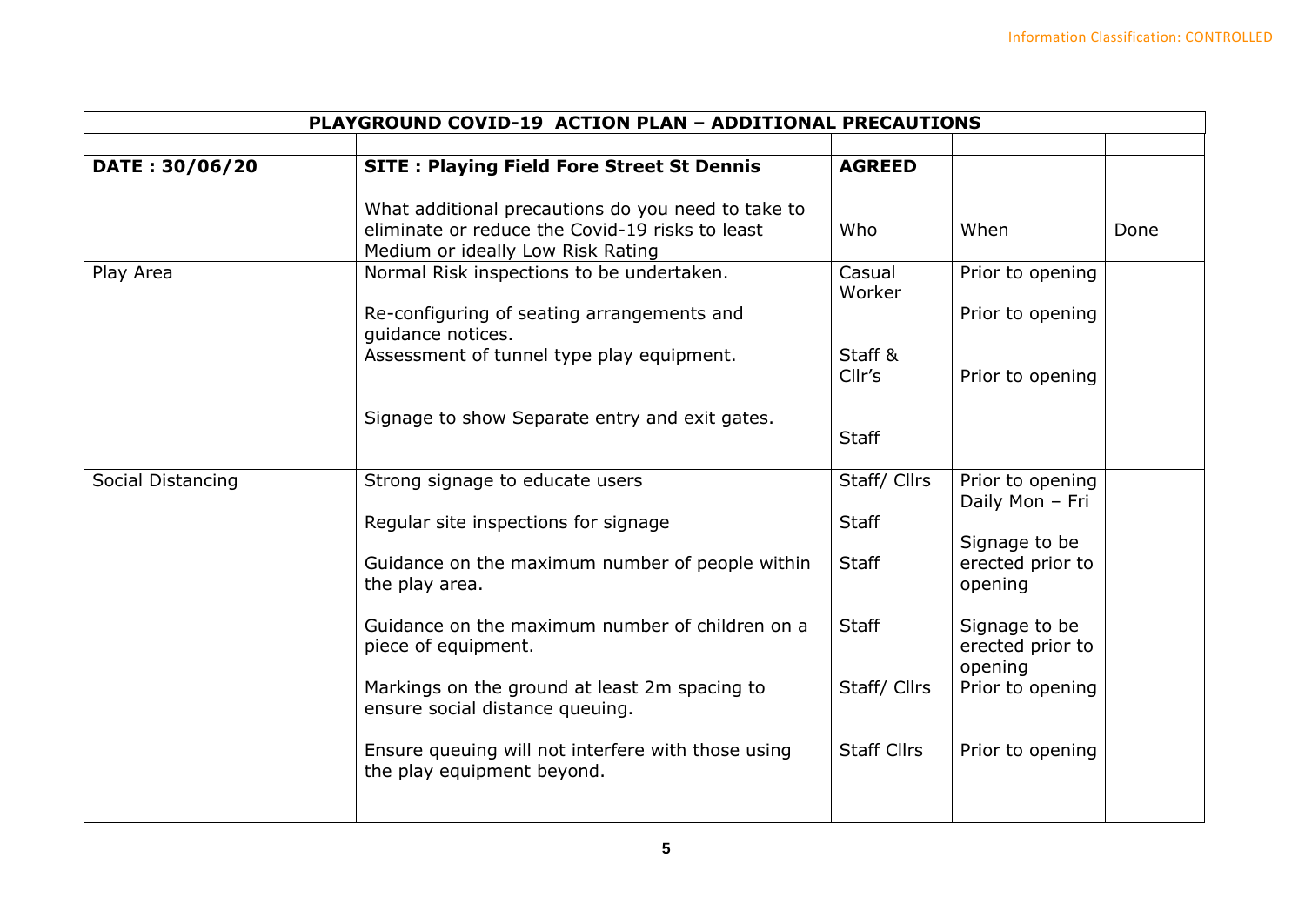| PLAYGROUND COVID-19 ACTION PLAN - ADDITIONAL PRECAUTIONS |                                                                                                                                            |                    |                                              |      |  |  |  |  |
|----------------------------------------------------------|--------------------------------------------------------------------------------------------------------------------------------------------|--------------------|----------------------------------------------|------|--|--|--|--|
|                                                          |                                                                                                                                            |                    |                                              |      |  |  |  |  |
| DATE: 30/06/20                                           | <b>SITE: Playing Field Fore Street St Dennis</b>                                                                                           | <b>AGREED</b>      |                                              |      |  |  |  |  |
|                                                          |                                                                                                                                            |                    |                                              |      |  |  |  |  |
|                                                          | What additional precautions do you need to take to<br>eliminate or reduce the Covid-19 risks to least<br>Medium or ideally Low Risk Rating | Who                | When                                         | Done |  |  |  |  |
| Play Area                                                | Normal Risk inspections to be undertaken.                                                                                                  | Casual<br>Worker   | Prior to opening                             |      |  |  |  |  |
|                                                          | Re-configuring of seating arrangements and<br>quidance notices.                                                                            |                    | Prior to opening                             |      |  |  |  |  |
|                                                          | Assessment of tunnel type play equipment.                                                                                                  | Staff &<br>Cllr's  | Prior to opening                             |      |  |  |  |  |
|                                                          | Signage to show Separate entry and exit gates.                                                                                             | <b>Staff</b>       |                                              |      |  |  |  |  |
| Social Distancing                                        | Strong signage to educate users                                                                                                            | Staff/ Cllrs       | Prior to opening<br>Daily Mon - Fri          |      |  |  |  |  |
|                                                          | Regular site inspections for signage                                                                                                       | <b>Staff</b>       |                                              |      |  |  |  |  |
|                                                          | Guidance on the maximum number of people within<br>the play area.                                                                          | <b>Staff</b>       | Signage to be<br>erected prior to<br>opening |      |  |  |  |  |
|                                                          | Guidance on the maximum number of children on a<br>piece of equipment.                                                                     | <b>Staff</b>       | Signage to be<br>erected prior to<br>opening |      |  |  |  |  |
|                                                          | Markings on the ground at least 2m spacing to<br>ensure social distance queuing.                                                           | Staff/ Cllrs       | Prior to opening                             |      |  |  |  |  |
|                                                          | Ensure queuing will not interfere with those using<br>the play equipment beyond.                                                           | <b>Staff Cllrs</b> | Prior to opening                             |      |  |  |  |  |
|                                                          |                                                                                                                                            |                    |                                              |      |  |  |  |  |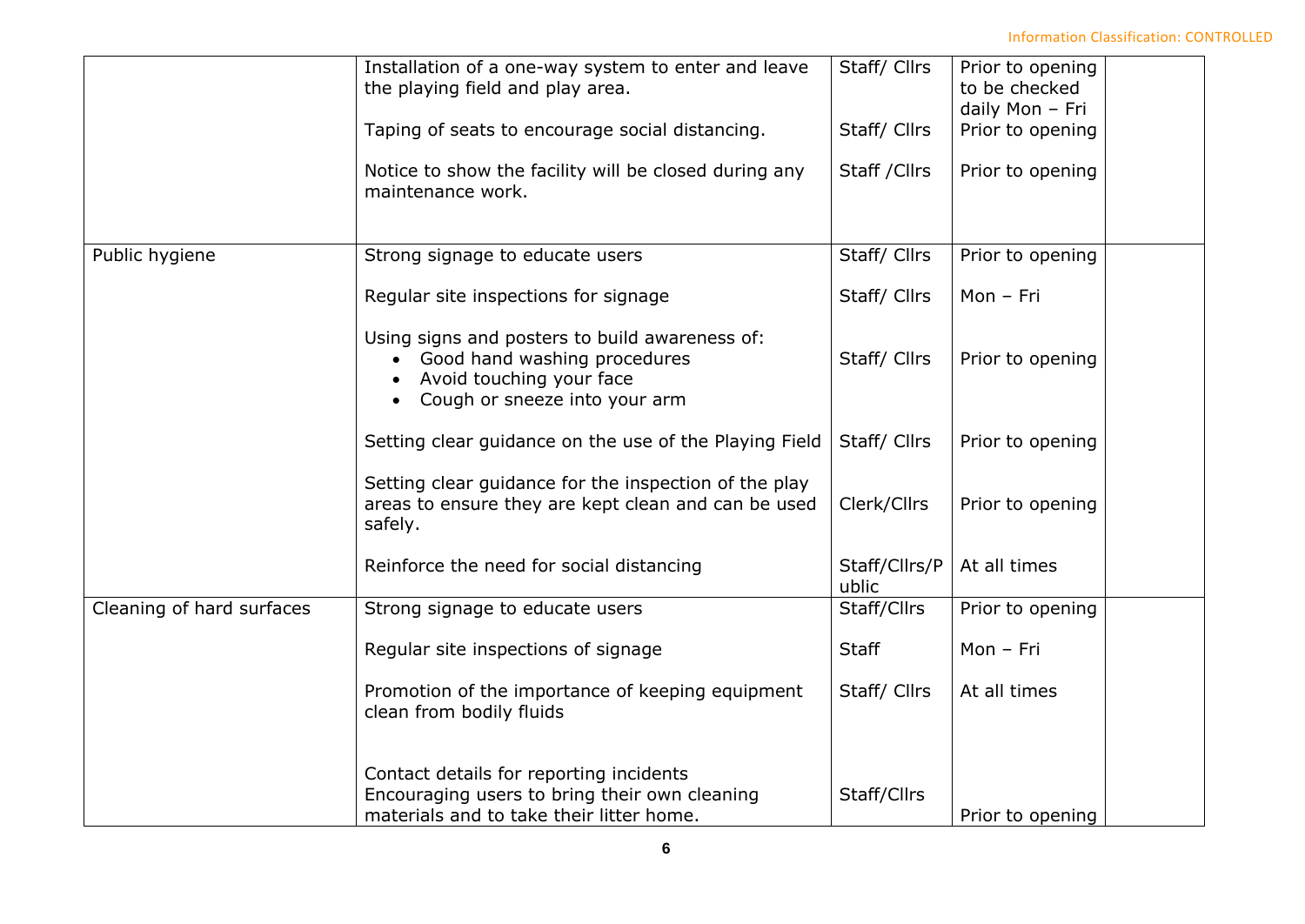Information Classification: CONTROLLED

|                           | Installation of a one-way system to enter and leave<br>the playing field and play area.                                                                  | Staff/ Cllrs           | Prior to opening<br>to be checked<br>daily Mon - Fri |
|---------------------------|----------------------------------------------------------------------------------------------------------------------------------------------------------|------------------------|------------------------------------------------------|
|                           | Taping of seats to encourage social distancing.                                                                                                          | Staff/ Cllrs           | Prior to opening                                     |
|                           | Notice to show the facility will be closed during any<br>maintenance work.                                                                               | Staff / Cllrs          | Prior to opening                                     |
| Public hygiene            | Strong signage to educate users                                                                                                                          | Staff/ Cllrs           | Prior to opening                                     |
|                           | Regular site inspections for signage                                                                                                                     | Staff/ Cllrs           | Mon - Fri                                            |
|                           | Using signs and posters to build awareness of:<br>Good hand washing procedures<br>Avoid touching your face<br>Cough or sneeze into your arm<br>$\bullet$ | Staff/ Cllrs           | Prior to opening                                     |
|                           | Setting clear guidance on the use of the Playing Field                                                                                                   | Staff/ Cllrs           | Prior to opening                                     |
|                           | Setting clear guidance for the inspection of the play<br>areas to ensure they are kept clean and can be used<br>safely.                                  | Clerk/Cllrs            | Prior to opening                                     |
|                           | Reinforce the need for social distancing                                                                                                                 | Staff/Cllrs/P<br>ublic | At all times                                         |
| Cleaning of hard surfaces | Strong signage to educate users                                                                                                                          | Staff/Cllrs            | Prior to opening                                     |
|                           | Regular site inspections of signage                                                                                                                      | <b>Staff</b>           | Mon - Fri                                            |
|                           | Promotion of the importance of keeping equipment<br>clean from bodily fluids                                                                             | Staff/ Cllrs           | At all times                                         |
|                           | Contact details for reporting incidents<br>Encouraging users to bring their own cleaning<br>materials and to take their litter home.                     | Staff/Cllrs            | Prior to opening                                     |